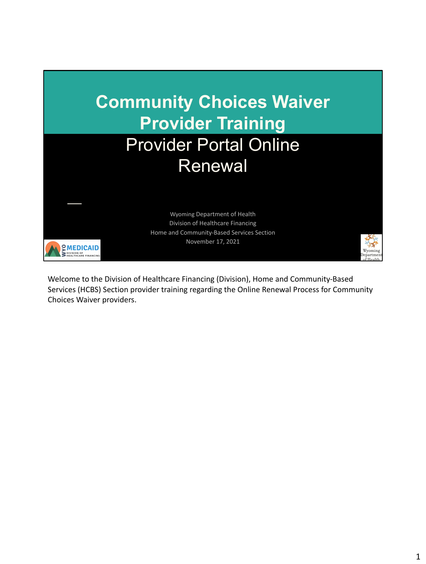

Welcome to the Division of Healthcare Financing (Division), Home and Community-Based Services (HCBS) Section provider training regarding the Online Renewal Process for Community Choices Waiver providers.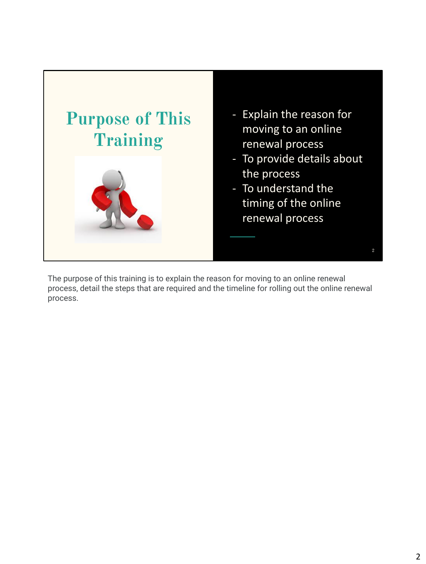

The purpose of this training is to explain the reason for moving to an online renewal process, detail the steps that are required and the timeline for rolling out the online renewal process.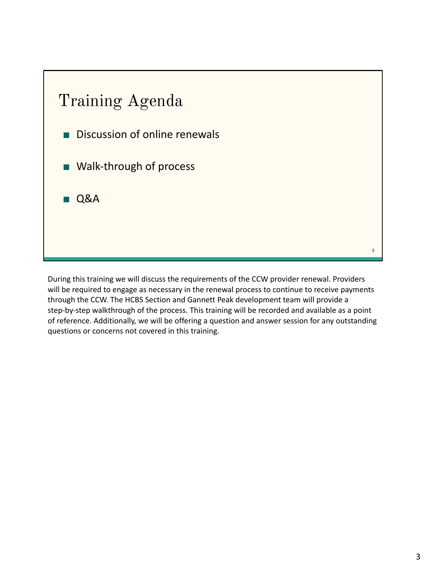

During this training we will discuss the requirements of the CCW provider renewal. Providers will be required to engage as necessary in the renewal process to continue to receive payments through the CCW. The HCBS Section and Gannett Peak development team will provide a step-by-step walkthrough of the process. This training will be recorded and available as a point of reference. Additionally, we will be offering a question and answer session for any outstanding questions or concerns not covered in this training.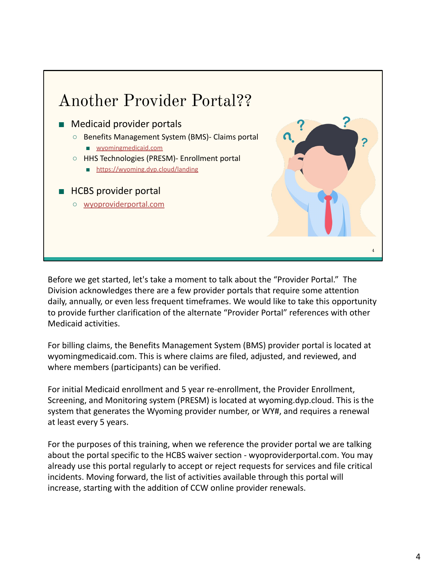

Before we get started, let's take a moment to talk about the "Provider Portal." The Division acknowledges there are a few provider portals that require some attention daily, annually, or even less frequent timeframes. We would like to take this opportunity to provide further clarification of the alternate "Provider Portal" references with other Medicaid activities.

For billing claims, the Benefits Management System (BMS) provider portal is located at wyomingmedicaid.com. This is where claims are filed, adjusted, and reviewed, and where members (participants) can be verified.

For initial Medicaid enrollment and 5 year re-enrollment, the Provider Enrollment, Screening, and Monitoring system (PRESM) is located at wyoming.dyp.cloud. This is the system that generates the Wyoming provider number, or WY#, and requires a renewal at least every 5 years.

For the purposes of this training, when we reference the provider portal we are talking about the portal specific to the HCBS waiver section - wyoproviderportal.com. You may already use this portal regularly to accept or reject requests for services and file critical incidents. Moving forward, the list of activities available through this portal will increase, starting with the addition of CCW online provider renewals.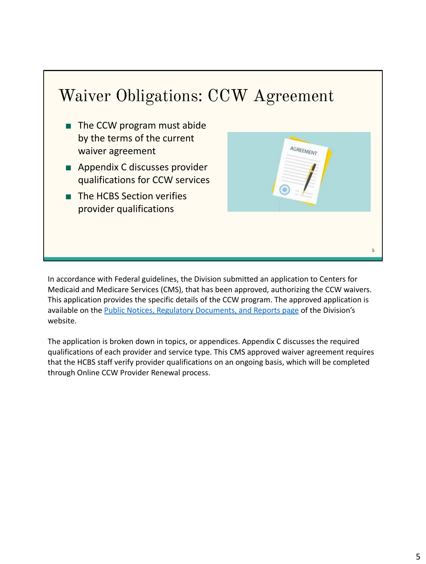## Waiver Obligations: CCW Agreement

- The CCW program must abide by the terms of the current waiver agreement
- Appendix C discusses provider qualifications for CCW services
- The HCBS Section verifies provider qualifications



In accordance with Federal guidelines, the Division submitted an application to Centers for Medicaid and Medicare Services (CMS), that has been approved, authorizing the CCW waivers. This application provides the specific details of the CCW program. The approved application is available on the [Public Notices, Regulatory Documents, and Reports page](https://health.wyo.gov/healthcarefin/hcbs/hcbs-public-notices/) of the Division's website.

The application is broken down in topics, or appendices. Appendix C discusses the required qualifications of each provider and service type. This CMS approved waiver agreement requires that the HCBS staff verify provider qualifications on an ongoing basis, which will be completed through Online CCW Provider Renewal process.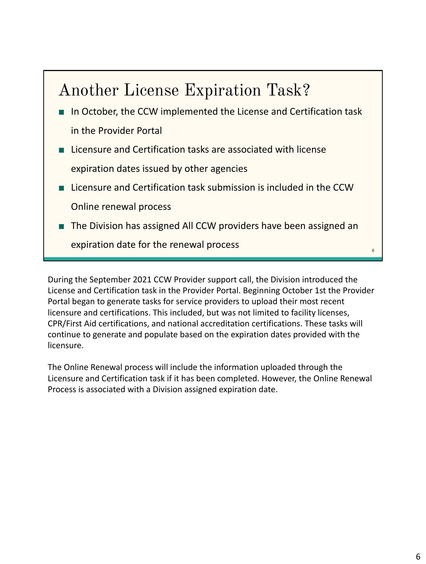## Another License Expiration Task?

- In October, the CCW implemented the License and Certification task in the Provider Portal
- Licensure and Certification tasks are associated with license expiration dates issued by other agencies
- Licensure and Certification task submission is included in the CCW Online renewal process
- The Division has assigned All CCW providers have been assigned an

expiration date for the renewal process

During the September 2021 CCW Provider support call, the Division introduced the License and Certification task in the Provider Portal. Beginning October 1st the Provider Portal began to generate tasks for service providers to upload their most recent licensure and certifications. This included, but was not limited to facility licenses, CPR/First Aid certifications, and national accreditation certifications. These tasks will continue to generate and populate based on the expiration dates provided with the licensure.

The Online Renewal process will include the information uploaded through the Licensure and Certification task if it has been completed. However, the Online Renewal Process is associated with a Division assigned expiration date.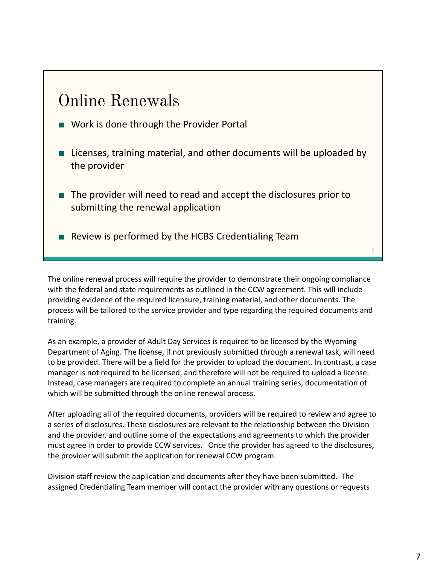#### Online Renewals

- Work is done through the Provider Portal
- Licenses, training material, and other documents will be uploaded by the provider
- The provider will need to read and accept the disclosures prior to submitting the renewal application
- Review is performed by the HCBS Credentialing Team

The online renewal process will require the provider to demonstrate their ongoing compliance with the federal and state requirements as outlined in the CCW agreement. This will include providing evidence of the required licensure, training material, and other documents. The process will be tailored to the service provider and type regarding the required documents and training.

As an example, a provider of Adult Day Services is required to be licensed by the Wyoming Department of Aging. The license, if not previously submitted through a renewal task, will need to be provided. There will be a field for the provider to upload the document. In contrast, a case manager is not required to be licensed, and therefore will not be required to upload a license. Instead, case managers are required to complete an annual training series, documentation of which will be submitted through the online renewal process.

After uploading all of the required documents, providers will be required to review and agree to a series of disclosures. These disclosures are relevant to the relationship between the Division and the provider, and outline some of the expectations and agreements to which the provider must agree in order to provide CCW services. Once the provider has agreed to the disclosures, the provider will submit the application for renewal CCW program.

Division staff review the application and documents after they have been submitted. The assigned Credentialing Team member will contact the provider with any questions or requests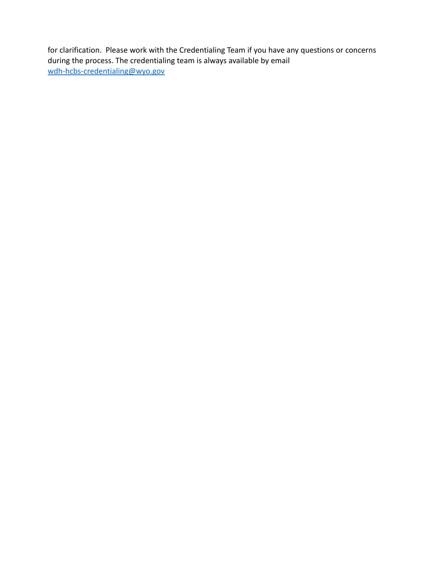for clarification. Please work with the Credentialing Team if you have any questions or concerns during the process. The credentialing team is always available by email [wdh-hcbs-credentialing@wyo.gov](mailto:wdh-hcbs-credentialing@wyo.gov)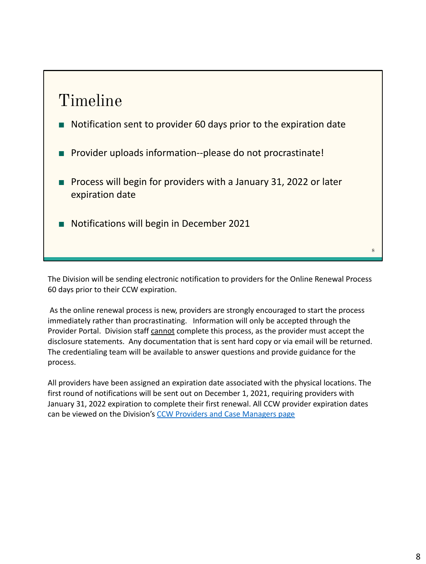### Timeline

- Notification sent to provider 60 days prior to the expiration date
- Provider uploads information--please do not procrastinate!
- Process will begin for providers with a January 31, 2022 or later expiration date
- Notifications will begin in December 2021

The Division will be sending electronic notification to providers for the Online Renewal Process 60 days prior to their CCW expiration.

 As the online renewal process is new, providers are strongly encouraged to start the process immediately rather than procrastinating. Information will only be accepted through the Provider Portal. Division staff cannot complete this process, as the provider must accept the disclosure statements. Any documentation that is sent hard copy or via email will be returned. The credentialing team will be available to answer questions and provide guidance for the process.

All providers have been assigned an expiration date associated with the physical locations. The first round of notifications will be sent out on December 1, 2021, requiring providers with January 31, 2022 expiration to complete their first renewal. All CCW provider expiration dates can be viewed on the Division's [CCW Providers and Case Managers page](https://health.wyo.gov/healthcarefin/hcbs/ccw-providers-and-case-managers/)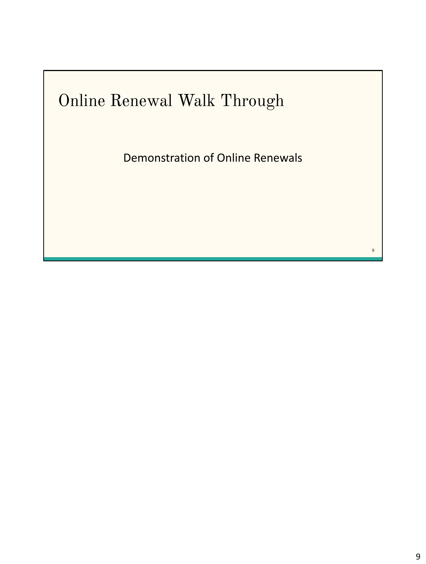# Online Renewal Walk Through

Demonstration of Online Renewals